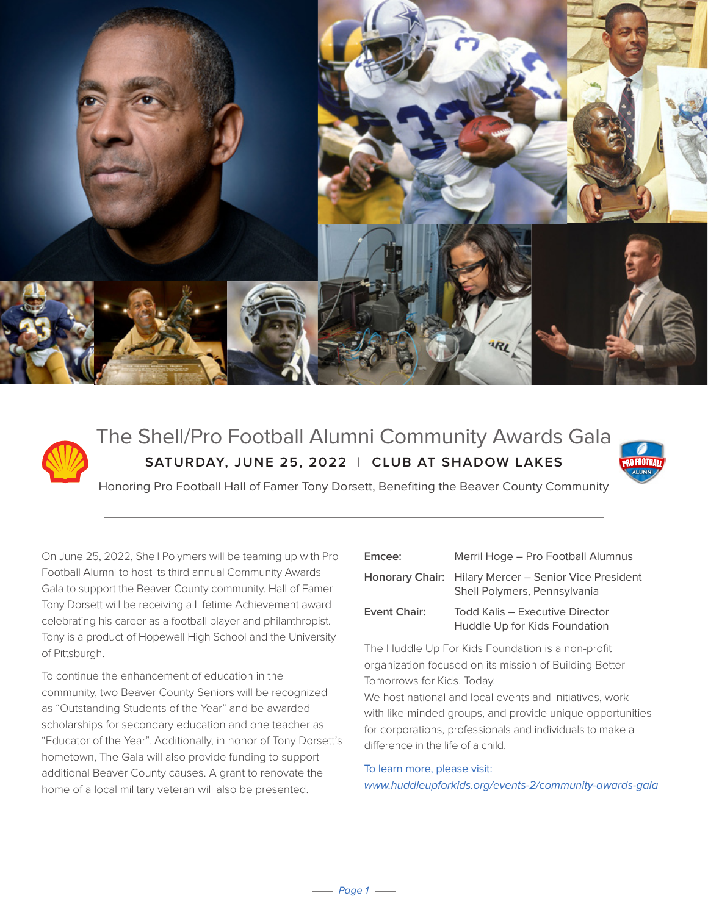



## The Shell/Pro Football Alumni Community Awards Gala **SATURDAY, JUNE 25, 2022 | CLUB AT SHADOW LAKES**



Honoring Pro Football Hall of Famer Tony Dorsett, Benefiting the Beaver County Community

On June 25, 2022, Shell Polymers will be teaming up with Pro Football Alumni to host its third annual Community Awards Gala to support the Beaver County community. Hall of Famer Tony Dorsett will be receiving a Lifetime Achievement award celebrating his career as a football player and philanthropist. Tony is a product of Hopewell High School and the University of Pittsburgh.

To continue the enhancement of education in the community, two Beaver County Seniors will be recognized as "Outstanding Students of the Year" and be awarded scholarships for secondary education and one teacher as "Educator of the Year". Additionally, in honor of Tony Dorsett's hometown, The Gala will also provide funding to support additional Beaver County causes. A grant to renovate the home of a local military veteran will also be presented.

| Emcee:       | Merril Hoge – Pro Football Alumnus                                                           |
|--------------|----------------------------------------------------------------------------------------------|
|              | <b>Honorary Chair:</b> Hilary Mercer – Senior Vice President<br>Shell Polymers, Pennsylvania |
| Event Chair: | Todd Kalis - Executive Director<br>Huddle Up for Kids Foundation                             |
|              |                                                                                              |

The Huddle Up For Kids Foundation is a non-profit organization focused on its mission of Building Better Tomorrows for Kids. Today.

We host national and local events and initiatives, work with like-minded groups, and provide unique opportunities for corporations, professionals and individuals to make a difference in the life of a child.

#### To learn more, please visit:

www.huddleupforkids.org/events-2/community-awards-gala

 $-$  Page 1  $-$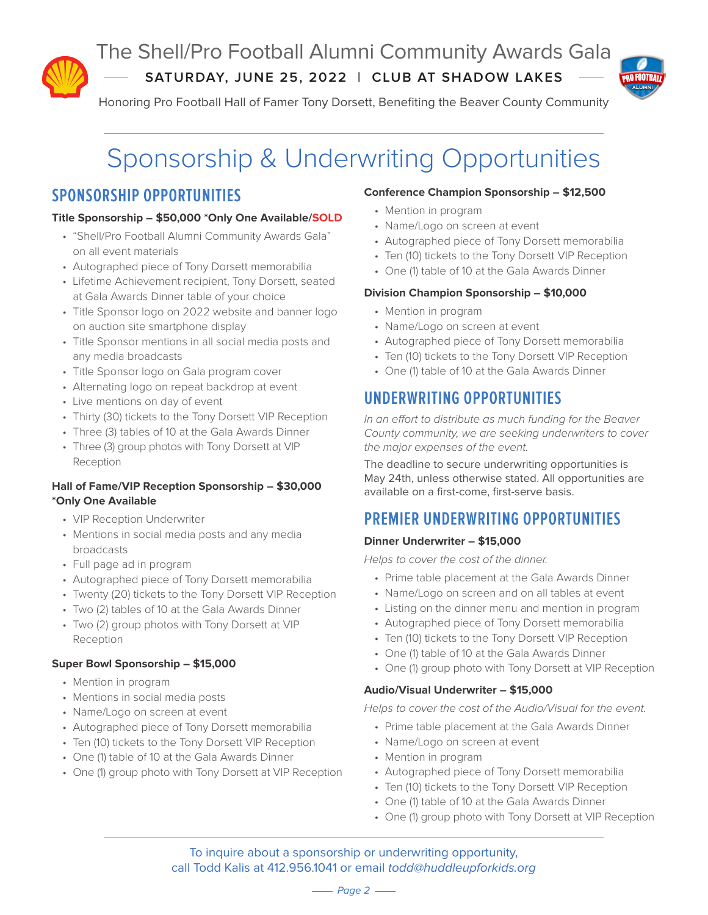

The Shell/Pro Football Alumni Community Awards Gala

**SATURDAY, JUNE 25, 2022 | CLUB AT SHADOW LAKES**



Honoring Pro Football Hall of Famer Tony Dorsett, Benefiting the Beaver County Community

# Sponsorship & Underwriting Opportunities

## **SPONSORSHIP OPPORTUNITIES**

#### **Title Sponsorship – \$50,000 \*Only One Available/SOLD**

- "Shell/Pro Football Alumni Community Awards Gala" on all event materials
- Autographed piece of Tony Dorsett memorabilia
- Lifetime Achievement recipient, Tony Dorsett, seated at Gala Awards Dinner table of your choice
- Title Sponsor logo on 2022 website and banner logo on auction site smartphone display
- Title Sponsor mentions in all social media posts and any media broadcasts
- Title Sponsor logo on Gala program cover
- Alternating logo on repeat backdrop at event
- Live mentions on day of event
- Thirty (30) tickets to the Tony Dorsett VIP Reception
- Three (3) tables of 10 at the Gala Awards Dinner
- Three (3) group photos with Tony Dorsett at VIP Reception

#### **Hall of Fame/VIP Reception Sponsorship – \$30,000 \*Only One Available**

- VIP Reception Underwriter
- Mentions in social media posts and any media broadcasts
- Full page ad in program
- Autographed piece of Tony Dorsett memorabilia
- Twenty (20) tickets to the Tony Dorsett VIP Reception
- Two (2) tables of 10 at the Gala Awards Dinner
- Two (2) group photos with Tony Dorsett at VIP Reception

#### **Super Bowl Sponsorship – \$15,000**

- Mention in program
- Mentions in social media posts
- Name/Logo on screen at event
- Autographed piece of Tony Dorsett memorabilia
- Ten (10) tickets to the Tony Dorsett VIP Reception
- One (1) table of 10 at the Gala Awards Dinner
- One (1) group photo with Tony Dorsett at VIP Reception

#### **Conference Champion Sponsorship – \$12,500**

- Mention in program
- Name/Logo on screen at event
- Autographed piece of Tony Dorsett memorabilia
- Ten (10) tickets to the Tony Dorsett VIP Reception
- One (1) table of 10 at the Gala Awards Dinner

#### **Division Champion Sponsorship – \$10,000**

- Mention in program
- Name/Logo on screen at event
- Autographed piece of Tony Dorsett memorabilia
- Ten (10) tickets to the Tony Dorsett VIP Reception
- One (1) table of 10 at the Gala Awards Dinner

## **UNDERWRITING OPPORTUNITIES**

In an effort to distribute as much funding for the Beaver County community, we are seeking underwriters to cover the major expenses of the event.

The deadline to secure underwriting opportunities is May 24th, unless otherwise stated. All opportunities are available on a first-come, first-serve basis.

## **PREMIER UNDERWRITING OPPORTUNITIES**

#### **Dinner Underwriter – \$15,000**

Helps to cover the cost of the dinner.

- Prime table placement at the Gala Awards Dinner
- Name/Logo on screen and on all tables at event
- Listing on the dinner menu and mention in program
- Autographed piece of Tony Dorsett memorabilia
- Ten (10) tickets to the Tony Dorsett VIP Reception
- One (1) table of 10 at the Gala Awards Dinner
- One (1) group photo with Tony Dorsett at VIP Reception

#### **Audio/Visual Underwriter – \$15,000**

Helps to cover the cost of the Audio/Visual for the event.

- Prime table placement at the Gala Awards Dinner
- Name/Logo on screen at event
- Mention in program
- Autographed piece of Tony Dorsett memorabilia
- Ten (10) tickets to the Tony Dorsett VIP Reception
- One (1) table of 10 at the Gala Awards Dinner
- One (1) group photo with Tony Dorsett at VIP Reception

To inquire about a sponsorship or underwriting opportunity, call Todd Kalis at 412.956.1041 or email todd@huddleupforkids.org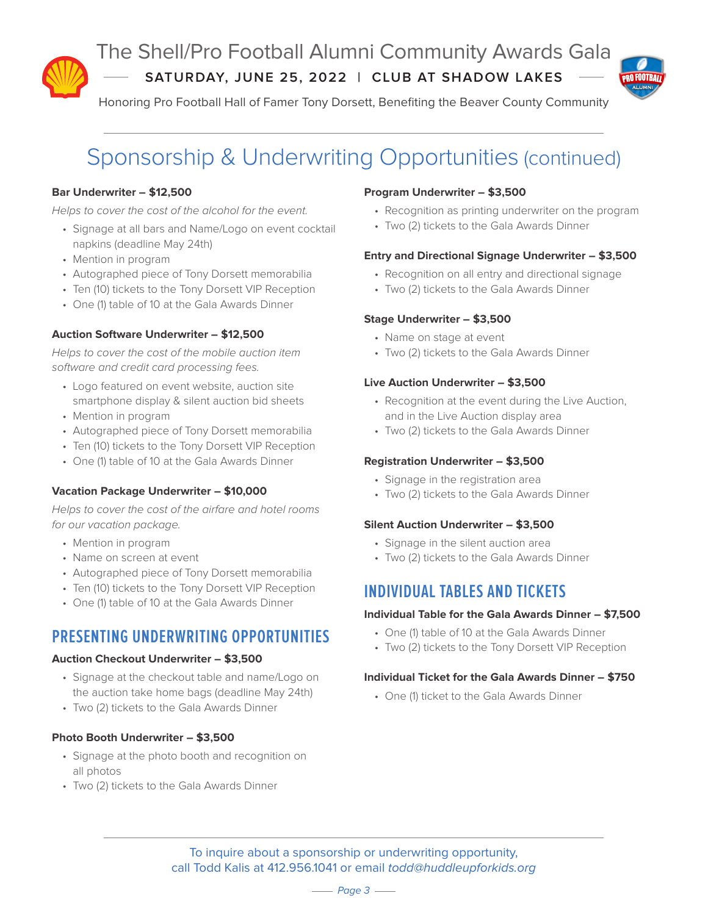

The Shell/Pro Football Alumni Community Awards Gala

**SATURDAY, JUNE 25, 2022 | CLUB AT SHADOW LAKES**





## Sponsorship & Underwriting Opportunities (continued)

#### **Bar Underwriter – \$12,500**

Helps to cover the cost of the alcohol for the event.

- Signage at all bars and Name/Logo on event cocktail napkins (deadline May 24th)
- Mention in program
- Autographed piece of Tony Dorsett memorabilia
- Ten (10) tickets to the Tony Dorsett VIP Reception
- One (1) table of 10 at the Gala Awards Dinner

#### **Auction Software Underwriter – \$12,500**

Helps to cover the cost of the mobile auction item software and credit card processing fees.

- Logo featured on event website, auction site smartphone display & silent auction bid sheets
- Mention in program
- Autographed piece of Tony Dorsett memorabilia
- Ten (10) tickets to the Tony Dorsett VIP Reception
- One (1) table of 10 at the Gala Awards Dinner

#### **Vacation Package Underwriter – \$10,000**

Helps to cover the cost of the airfare and hotel rooms for our vacation package.

- Mention in program
- Name on screen at event
- Autographed piece of Tony Dorsett memorabilia
- Ten (10) tickets to the Tony Dorsett VIP Reception
- One (1) table of 10 at the Gala Awards Dinner

## **PRESENTING UNDERWRITING OPPORTUNITIES**

#### **Auction Checkout Underwriter – \$3,500**

- Signage at the checkout table and name/Logo on the auction take home bags (deadline May 24th)
- Two (2) tickets to the Gala Awards Dinner

#### **Photo Booth Underwriter – \$3,500**

- Signage at the photo booth and recognition on all photos
- Two (2) tickets to the Gala Awards Dinner

#### **Program Underwriter – \$3,500**

- Recognition as printing underwriter on the program
- Two (2) tickets to the Gala Awards Dinner

#### **Entry and Directional Signage Underwriter – \$3,500**

- Recognition on all entry and directional signage
- Two (2) tickets to the Gala Awards Dinner

#### **Stage Underwriter – \$3,500**

- Name on stage at event
- Two (2) tickets to the Gala Awards Dinner

#### **Live Auction Underwriter – \$3,500**

- Recognition at the event during the Live Auction, and in the Live Auction display area
- Two (2) tickets to the Gala Awards Dinner

#### **Registration Underwriter – \$3,500**

- Signage in the registration area
- Two (2) tickets to the Gala Awards Dinner

#### **Silent Auction Underwriter – \$3,500**

- Signage in the silent auction area
- Two (2) tickets to the Gala Awards Dinner

### **INDIVIDUAL TABLES AND TICKETS**

#### **Individual Table for the Gala Awards Dinner – \$7,500**

- One (1) table of 10 at the Gala Awards Dinner
- Two (2) tickets to the Tony Dorsett VIP Reception

#### **Individual Ticket for the Gala Awards Dinner – \$750**

• One (1) ticket to the Gala Awards Dinner

To inquire about a sponsorship or underwriting opportunity, call Todd Kalis at 412.956.1041 or email todd@huddleupforkids.org